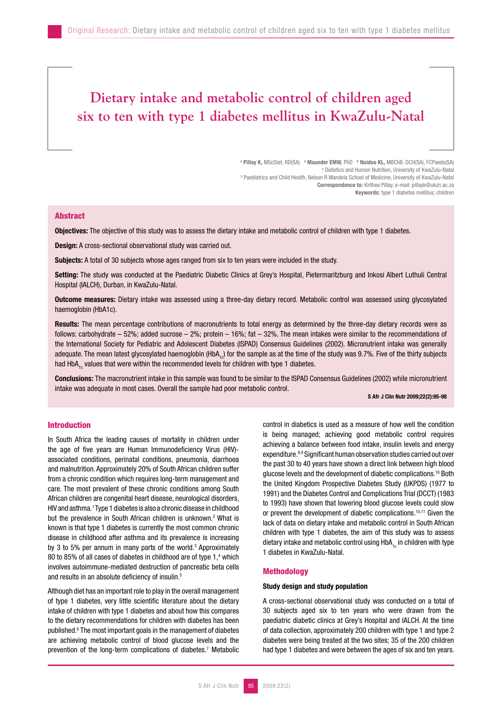# **Dietary intake and metabolic control of children aged six to ten with type 1 diabetes mellitus in KwaZulu-Natal**

<sup>a</sup> Pillay K, MScDiet, RD(SA) <sup>a</sup> Maunder EMW, PhD <sup>b</sup> Naidoo KL, MBChB, DCH(SA), FCPaeds(SA) <sup>a</sup> Dietetics and Human Nutrition, University of KwaZulu-Natal Dietetics and Human Nutrition, University of KwaZulu-Natal "<br>Paediatrics and Child Health, Nelson R Mandela School of Medicine, University of KwaZulu-Natal " Correspondence to: Kirthee Pillay, e-mail: pillayk@ukzn.ac.za Keywords: type 1 diabetes mellitus; children

# Abstract

Objectives: The objective of this study was to assess the dietary intake and metabolic control of children with type 1 diabetes.

Design: A cross-sectional observational study was carried out.

Subjects: A total of 30 subjects whose ages ranged from six to ten years were included in the study.

Setting: The study was conducted at the Paediatric Diabetic Clinics at Grey's Hospital, Pietermaritzburg and Inkosi Albert Luthuli Central Hospital (IALCH), Durban, in KwaZulu-Natal.

Outcome measures: Dietary intake was assessed using a three-day dietary record. Metabolic control was assessed using glycosylated haemoglobin (HbA1c).

Results: The mean percentage contributions of macronutrients to total energy as determined by the three-day dietary records were as follows: carbohydrate – 52%; added sucrose – 2%; protein – 16%; fat – 32%. The mean intakes were similar to the recommendations of the International Society for Pediatric and Adolescent Diabetes (ISPAD) Consensus Guidelines (2002). Micronutrient intake was generally adequate. The mean latest glycosylated haemoglobin (HbA<sub>1c</sub>) for the sample as at the time of the study was 9.7%. Five of the thirty subjects had HbA<sub>1c</sub> values that were within the recommended levels for children with type 1 diabetes.

Conclusions: The macronutrient intake in this sample was found to be similar to the ISPAD Consensus Guidelines (2002) while micronutrient intake was adequate in most cases. Overall the sample had poor metabolic control.

S Afr J Clin Nutr 2009;22(2):95-98

## Introduction

In South Africa the leading causes of mortality in children under the age of five years are Human Immunodeficiency Virus (HIV) associated conditions, perinatal conditions, pneumonia, diarrhoea and malnutrition. Approximately 20% of South African children suffer from a chronic condition which requires long-term management and care. The most prevalent of these chronic conditions among South African children are congenital heart disease, neurological disorders, HIV and asthma.<sup>1</sup> Type 1 diabetes is also a chronic disease in childhood but the prevalence in South African children is unknown.<sup>2</sup> What is known is that type 1 diabetes is currently the most common chronic disease in childhood after asthma and its prevalence is increasing by 3 to 5% per annum in many parts of the world.<sup>3</sup> Approximately 80 to 85% of all cases of diabetes in childhood are of type 1,<sup>4</sup> which involves autoimmune-mediated destruction of pancreatic beta cells and results in an absolute deficiency of insulin.5

Although diet has an important role to play in the overall management of type 1 diabetes, very little scientific literature about the dietary intake of children with type 1 diabetes and about how this compares to the dietary recommendations for children with diabetes has been published.<sup>6</sup> The most important goals in the management of diabetes are achieving metabolic control of blood glucose levels and the prevention of the long-term complications of diabetes.7 Metabolic control in diabetics is used as a measure of how well the condition is being managed; achieving good metabolic control requires achieving a balance between food intake, insulin levels and energy expenditure.8,9 Significant human observation studies carried out over the past 30 to 40 years have shown a direct link between high blood glucose levels and the development of diabetic complications.10 Both the United Kingdom Prospective Diabetes Study (UKPDS) (1977 to 1991) and the Diabetes Control and Complications Trial (DCCT) (1983 to 1993) have shown that lowering blood glucose levels could slow or prevent the development of diabetic complications.10,11 Given the lack of data on dietary intake and metabolic control in South African children with type 1 diabetes, the aim of this study was to assess dietary intake and metabolic control using HbA<sub>1c</sub> in children with type 1 diabetes in KwaZulu-Natal.

## Methodology

## Study design and study population

A cross-sectional observational study was conducted on a total of 30 subjects aged six to ten years who were drawn from the paediatric diabetic clinics at Grey's Hospital and IALCH. At the time of data collection, approximately 200 children with type 1 and type 2 diabetes were being treated at the two sites; 35 of the 200 children had type 1 diabetes and were between the ages of six and ten years.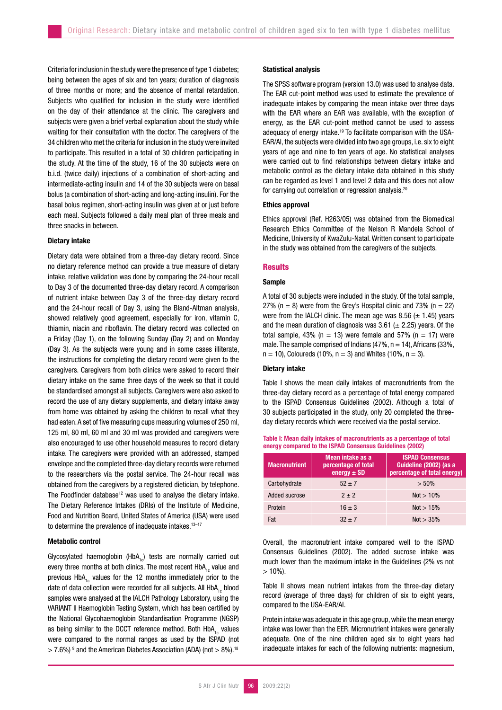Criteria for inclusion in the study were the presence of type 1 diabetes; being between the ages of six and ten years; duration of diagnosis of three months or more; and the absence of mental retardation. Subjects who qualified for inclusion in the study were identified on the day of their attendance at the clinic. The caregivers and subjects were given a brief verbal explanation about the study while waiting for their consultation with the doctor. The caregivers of the 34 children who met the criteria for inclusion in the study were invited to participate. This resulted in a total of 30 children participating in the study. At the time of the study, 16 of the 30 subjects were on b.i.d. (twice daily) injections of a combination of short-acting and intermediate-acting insulin and 14 of the 30 subjects were on basal bolus (a combination of short-acting and long-acting insulin). For the basal bolus regimen, short-acting insulin was given at or just before each meal. Subjects followed a daily meal plan of three meals and three snacks in between.

#### Dietary intake

Dietary data were obtained from a three-day dietary record. Since no dietary reference method can provide a true measure of dietary intake, relative validation was done by comparing the 24-hour recall to Day 3 of the documented three-day dietary record. A comparison of nutrient intake between Day 3 of the three-day dietary record and the 24-hour recall of Day 3, using the Bland-Altman analysis, showed relatively good agreement, especially for iron, vitamin C, thiamin, niacin and riboflavin. The dietary record was collected on a Friday (Day 1), on the following Sunday (Day 2) and on Monday (Day 3). As the subjects were young and in some cases illiterate, the instructions for completing the dietary record were given to the caregivers. Caregivers from both clinics were asked to record their dietary intake on the same three days of the week so that it could be standardised amongst all subjects. Caregivers were also asked to record the use of any dietary supplements, and dietary intake away from home was obtained by asking the children to recall what they had eaten. A set of five measuring cups measuring volumes of 250 ml, 125 ml, 80 ml, 60 ml and 30 ml was provided and caregivers were also encouraged to use other household measures to record dietary intake. The caregivers were provided with an addressed, stamped envelope and the completed three-day dietary records were returned to the researchers via the postal service. The 24-hour recall was obtained from the caregivers by a registered dietician, by telephone. The Foodfinder database<sup>12</sup> was used to analyse the dietary intake. The Dietary Reference Intakes (DRIs) of the Institute of Medicine, Food and Nutrition Board, United States of America (USA) were used to determine the prevalence of inadequate intakes. $13-17$ 

## Metabolic control

Glycosylated haemoglobin (HbA<sub>1c</sub>) tests are normally carried out every three months at both clinics. The most recent  $HbA<sub>1c</sub>$  value and previous  $HbA_{1c}$  values for the 12 months immediately prior to the date of data collection were recorded for all subjects. All HbA<sub>1c</sub> blood samples were analysed at the IALCH Pathology Laboratory, using the VARIANT II Haemoglobin Testing System, which has been certified by the National Glycohaemoglobin Standardisation Programme (NGSP) as being similar to the DCCT reference method. Both HbA<sub>1c</sub> values were compared to the normal ranges as used by the ISPAD (not  $>$  7.6%)<sup>9</sup> and the American Diabetes Association (ADA) (not  $>$  8%).<sup>18</sup>

## Statistical analysis

The SPSS software program (version 13.0) was used to analyse data. The EAR cut-point method was used to estimate the prevalence of inadequate intakes by comparing the mean intake over three days with the EAR where an EAR was available, with the exception of energy, as the EAR cut-point method cannot be used to assess adequacy of energy intake.19 To facilitate comparison with the USA-EAR/AI, the subjects were divided into two age groups, i.e. six to eight years of age and nine to ten years of age. No statistical analyses were carried out to find relationships between dietary intake and metabolic control as the dietary intake data obtained in this study can be regarded as level 1 and level 2 data and this does not allow for carrying out correlation or regression analysis.20

## Ethics approval

Ethics approval (Ref. H263/05) was obtained from the Biomedical Research Ethics Committee of the Nelson R Mandela School of Medicine, University of KwaZulu-Natal. Written consent to participate in the study was obtained from the caregivers of the subjects.

#### **Results**

## Sample

A total of 30 subjects were included in the study. Of the total sample, 27% ( $n = 8$ ) were from the Grey's Hospital clinic and 73% ( $n = 22$ ) were from the IALCH clinic. The mean age was 8.56 ( $\pm$  1.45) years and the mean duration of diagnosis was 3.61 ( $\pm$  2.25) years. Of the total sample, 43% ( $n = 13$ ) were female and 57% ( $n = 17$ ) were male. The sample comprised of Indians (47%,  $n = 14$ ), Africans (33%,  $n = 10$ , Coloureds (10%,  $n = 3$ ) and Whites (10%,  $n = 3$ ).

## Dietary intake

Table I shows the mean daily intakes of macronutrients from the three-day dietary record as a percentage of total energy compared to the ISPAD Consensus Guidelines (2002). Although a total of 30 subjects participated in the study, only 20 completed the threeday dietary records which were received via the postal service.

| Table I: Mean daily intakes of macronutrients as a percentage of total |  |
|------------------------------------------------------------------------|--|
| energy compared to the ISPAD Consensus Guidelines (2002)               |  |

| <b>Macronutrient</b> | <b>ISPAD Consensus</b><br>Mean intake as a<br>Guideline (2002) (as a<br>percentage of total<br>energy $\pm$ SD<br>percentage of total energy) |              |
|----------------------|-----------------------------------------------------------------------------------------------------------------------------------------------|--------------|
| Carbohydrate         | $52 \pm 7$                                                                                                                                    | $> 50\%$     |
| Added sucrose        | $2 + 2$                                                                                                                                       | $Not > 10\%$ |
| Protein              | $16 \pm 3$                                                                                                                                    | Not $> 15%$  |
| Fat                  | $32 + 7$                                                                                                                                      | $Not > 35\%$ |

Overall, the macronutrient intake compared well to the ISPAD Consensus Guidelines (2002). The added sucrose intake was much lower than the maximum intake in the Guidelines (2% vs not  $> 10\%$ ).

Table II shows mean nutrient intakes from the three-day dietary record (average of three days) for children of six to eight years, compared to the USA-EAR/AI.

Protein intake was adequate in this age group, while the mean energy intake was lower than the EER. Micronutrient intakes were generally adequate. One of the nine children aged six to eight years had inadequate intakes for each of the following nutrients: magnesium,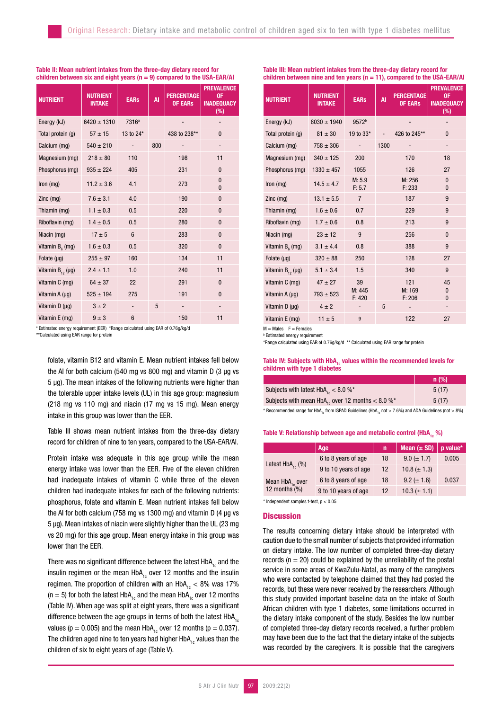#### Table II: Mean nutrient intakes from the three-day dietary record for children between six and eight years ( $n = 9$ ) compared to the USA-EAR/AI

| <b>NUTRIENT</b>         | <b>NUTRIENT</b><br><b>INTAKE</b> | <b>EARs</b>       | <b>AI</b> | <b>PERCENTAGE</b><br><b>OF EARS</b> | <b>PREVALENCE</b><br>0F<br><b>INADEQUACY</b><br>$(\%)$ |
|-------------------------|----------------------------------|-------------------|-----------|-------------------------------------|--------------------------------------------------------|
| Energy (kJ)             | $6420 \pm 1310$                  | 7316 <sup>a</sup> |           |                                     |                                                        |
| Total protein (g)       | $57 \pm 15$                      | 13 to 24*         |           | 438 to 238**                        | $\mathbf{0}$                                           |
| Calcium (mg)            | $540 \pm 210$                    |                   | 800       |                                     |                                                        |
| Magnesium (mg)          | $218 \pm 80$                     | 110               |           | 198                                 | 11                                                     |
| Phosphorus (mg)         | $935 \pm 224$                    | 405               |           | 231                                 | $\mathbf{0}$                                           |
| Iron (mg)               | $11.2 \pm 3.6$                   | 4.1               |           | 273                                 | $\mathbf{0}$<br>$\mathbf{0}$                           |
| Zinc (mg)               | $7.6 \pm 3.1$                    | 4.0               |           | 190                                 | $\mathbf{0}$                                           |
| Thiamin (mg)            | $1.1 \pm 0.3$                    | 0.5               |           | 220                                 | $\mathbf{0}$                                           |
| Riboflavin (mg)         | $1.4 \pm 0.5$                    | 0.5               |           | 280                                 | $\mathbf{0}$                                           |
| Niacin (mg)             | $17 \pm 5$                       | $6\phantom{1}$    |           | 283                                 | $\mathbf{0}$                                           |
| Vitamin $B_6$ (mg)      | $1.6 \pm 0.3$                    | 0.5               |           | 320                                 | $\mathbf{0}$                                           |
| Folate $(\mu g)$        | $255 \pm 97$                     | 160               |           | 134                                 | 11                                                     |
| Vitamin $B_{12}(\mu g)$ | $2.4 \pm 1.1$                    | 1.0               |           | 240                                 | 11                                                     |
| Vitamin C (mg)          | $64 \pm 37$                      | 22                |           | 291                                 | $\mathbf{0}$                                           |
| Vitamin A $(\mu g)$     | $525 \pm 194$                    | 275               |           | 191                                 | $\mathbf{0}$                                           |
| Vitamin D (µg)          | $3 \pm 2$                        |                   | 5         |                                     |                                                        |
| Vitamin E (mg)          | $9 \pm 3$                        | 6                 |           | 150                                 | 11                                                     |

a Estimated energy requirement (EER) \*Range calculated using EAR of 0.76g/kg/d

\*\*Calculated using EAR range for protein

folate, vitamin B12 and vitamin E. Mean nutrient intakes fell below the AI for both calcium (540 mg vs 800 mg) and vitamin D (3 µg vs 5 µg). The mean intakes of the following nutrients were higher than the tolerable upper intake levels (UL) in this age group: magnesium (218 mg vs 110 mg) and niacin (17 mg vs 15 mg). Mean energy intake in this group was lower than the EER.

Table III shows mean nutrient intakes from the three-day dietary record for children of nine to ten years, compared to the USA-EAR/AI.

Protein intake was adequate in this age group while the mean energy intake was lower than the EER. Five of the eleven children had inadequate intakes of vitamin C while three of the eleven children had inadequate intakes for each of the following nutrients: phosphorus, folate and vitamin E. Mean nutrient intakes fell below the AI for both calcium (758 mg vs 1300 mg) and vitamin D (4 µg vs 5 µg). Mean intakes of niacin were slightly higher than the UL (23 mg vs 20 mg) for this age group. Mean energy intake in this group was lower than the EER.

There was no significant difference between the latest  $HbA_{1c}$  and the insulin regimen or the mean  $HbA_{1c}$  over 12 months and the insulin regimen. The proportion of children with an  $HbA_{1c} < 8\%$  was 17%  $(n = 5)$  for both the latest HbA<sub>1c</sub> and the mean HbA<sub>1c</sub> over 12 months (Table IV). When age was split at eight years, there was a significant difference between the age groups in terms of both the latest  $HDA$ <sub>10</sub> values ( $p = 0.005$ ) and the mean HbA<sub>1c</sub> over 12 months ( $p = 0.037$ ). The children aged nine to ten years had higher HbA<sub>1c</sub> values than the children of six to eight years of age (Table V).

Table III: Mean nutrient intakes from the three-day dietary record for children between nine and ten years ( $n = 11$ ), compared to the USA-EAR/AI

| <b>NUTRIENT</b>         | <b>NUTRIENT</b><br><b>INTAKE</b> | <b>EARs</b>       | <b>AI</b> | <b>PERCENTAGE</b><br><b>OF EARS</b> | <b>PREVALENCE</b><br>0F<br><b>INADEQUACY</b><br>$(\%)$ |
|-------------------------|----------------------------------|-------------------|-----------|-------------------------------------|--------------------------------------------------------|
| Energy (kJ)             | $8030 \pm 1940$                  | 9572 <sup>b</sup> |           |                                     |                                                        |
| Total protein (g)       | $81 \pm 30$                      | 19 to 33*         |           | 426 to 245**                        | $\mathbf{0}$                                           |
| Calcium (mg)            | $758 \pm 306$                    |                   | 1300      |                                     |                                                        |
| Magnesium (mg)          | $340 \pm 125$                    | 200               |           | 170                                 | 18                                                     |
| Phosphorus (mg)         | $1330 \pm 457$                   | 1055              |           | 126                                 | 27                                                     |
| $lron$ (mg)             | $14.5 \pm 4.7$                   | M: 5.9<br>F: 5.7  |           | M: 256<br>F: 233                    | $\mathbf{0}$<br>$\mathbf{0}$                           |
| $Zinc$ (mg)             | $13.1 \pm 5.5$                   | $\overline{7}$    |           | 187                                 | 9                                                      |
| Thiamin (mg)            | $1.6 \pm 0.6$                    | 0.7               |           | 229                                 | 9                                                      |
| Riboflavin (mg)         | $1.7 \pm 0.6$                    | 0.8               |           | 213                                 | 9                                                      |
| Niacin (mg)             | $23 \pm 12$                      | 9                 |           | 256                                 | $\mathbf{0}$                                           |
| Vitamin $B_6$ (mg)      | $3.1 \pm 4.4$                    | 0.8               |           | 388                                 | 9                                                      |
| Folate $(\mu g)$        | $320 \pm 88$                     | 250               |           | 128                                 | 27                                                     |
| Vitamin $B_{12}(\mu g)$ | $5.1 \pm 3.4$                    | 1.5               |           | 340                                 | 9                                                      |
| Vitamin C (mg)          | $47 \pm 27$                      | 39                |           | 121                                 | 45                                                     |
| Vitamin A (µg)          | $793 \pm 523$                    | M: 445<br>F: 420  |           | M: 169<br>F: 206                    | $\bf{0}$<br>$\mathbf{0}$                               |
| Vitamin $D(\mu g)$      | $4 \pm 2$                        |                   | 5         |                                     |                                                        |
| Vitamin E (mg)          | $11 \pm 5$                       | 9                 |           | 122                                 | 27                                                     |

 $M =$  Males  $F =$  Females

**b** Estimated energy requirement

\*Range calculated using EAR of 0.76g/kg/d \*\* Calculated using EAR range for protein

Table IV: Subjects with  $HbA_{1c}$  values within the recommended levels for children with type 1 diabetes

|                                                              | $n$ (%) |
|--------------------------------------------------------------|---------|
| Subjects with latest $HbA_{12} < 8.0 \%$ *                   | 5(17)   |
| Subjects with mean HbA <sub>1c</sub> over 12 months < 8.0 %* | 5(17)   |

\* Recommended range for HbA. from ISPAD Guidelines (HbA, not > 7.6%) and ADA Guidelines (not > 8%)

#### Table V: Relationship between age and metabolic control (HbA<sub>40</sub> %)

|                                          | Age                  | 'n | Mean $(\pm SD)$  | p value* |
|------------------------------------------|----------------------|----|------------------|----------|
| Latest $HbA_{1c}$ (%)                    | 6 to 8 years of age  | 18 | $9.0 (\pm 1.7)$  | 0.005    |
|                                          | 9 to 10 years of age | 12 | $10.8 (\pm 1.3)$ |          |
| Mean $HbA_{1c}$ over<br>12 months $(\%)$ | 6 to 8 years of age  | 18 | $9.2 (\pm 1.6)$  | 0.037    |
|                                          | 9 to 10 years of age | 12 | $10.3 (\pm 1.1)$ |          |

 $*$  Independent samples t-test,  $p < 0.05$ 

## **Discussion**

The results concerning dietary intake should be interpreted with caution due to the small number of subjects that provided information on dietary intake. The low number of completed three-day dietary records ( $n = 20$ ) could be explained by the unreliability of the postal service in some areas of KwaZulu-Natal, as many of the caregivers who were contacted by telephone claimed that they had posted the records, but these were never received by the researchers. Although this study provided important baseline data on the intake of South African children with type 1 diabetes, some limitations occurred in the dietary intake component of the study. Besides the low number of completed three-day dietary records received, a further problem may have been due to the fact that the dietary intake of the subjects was recorded by the caregivers. It is possible that the caregivers